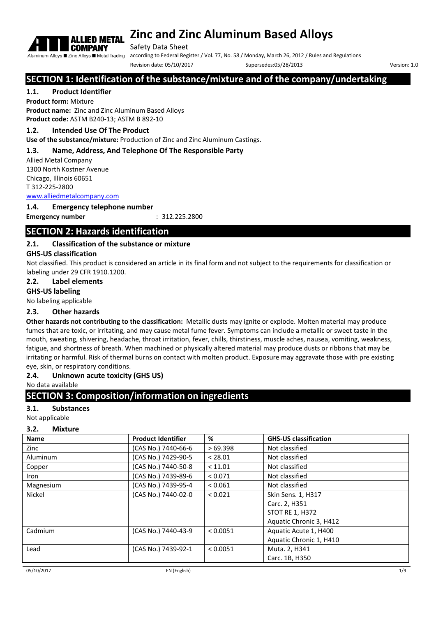

Safety Data Sheet

Aluminum Alloys **E** Zinc Alloys **E** Metal Trading according to Federal Register / Vol. 77, No. 58 / Monday, March 26, 2012 / Rules and Regulations

Revision date: 05/10/2017 Supersedes:05/28/2013 Version: 1.0

# **SECTION 1: Identification of the substance/mixture and of the company/undertaking**

#### **1.1. Product Identifier**

**Product form:** Mixture **Product name:** Zinc and Zinc Aluminum Based Alloys **Product code:** ASTM B240-13; ASTM B 892-10

#### **1.2. Intended Use Of The Product**

**Use of the substance/mixture:** Production of Zinc and Zinc Aluminum Castings.

#### **1.3. Name, Address, And Telephone Of The Responsible Party**

Allied Metal Company 1300 North Kostner Avenue Chicago, Illinois 60651 T 312-225-2800

www.alliedmetalcompany.com

#### **1.4. Emergency telephone number**

**Emergency number** : 312.225.2800

## **SECTION 2: Hazards identification**

#### **2.1. Classification of the substance or mixture**

#### **GHS-US classification**

Not classified. This product is considered an article in its final form and not subject to the requirements for classification or labeling under 29 CFR 1910.1200.

#### **2.2. Label elements**

**GHS-US labeling**

No labeling applicable

#### **2.3. Other hazards**

**Other hazards not contributing to the classification:** Metallic dusts may ignite or explode. Molten material may produce fumes that are toxic, or irritating, and may cause metal fume fever. Symptoms can include a metallic or sweet taste in the mouth, sweating, shivering, headache, throat irritation, fever, chills, thirstiness, muscle aches, nausea, vomiting, weakness, fatigue, and shortness of breath. When machined or physically altered material may produce dusts or ribbons that may be irritating or harmful. Risk of thermal burns on contact with molten product. Exposure may aggravate those with pre existing eye, skin, or respiratory conditions.

#### **2.4. Unknown acute toxicity (GHS US)**

No data available

#### **SECTION 3: Composition/information on ingredients**

**3.1. Substances**

Not applicable

#### **3.2. Mixture**

| <b>Name</b> | <b>Product Identifier</b> | %        | <b>GHS-US classification</b> |
|-------------|---------------------------|----------|------------------------------|
| Zinc        | (CAS No.) 7440-66-6       | >69.398  | Not classified               |
| Aluminum    | (CAS No.) 7429-90-5       | < 28.01  | Not classified               |
| Copper      | (CAS No.) 7440-50-8       | < 11.01  | Not classified               |
| Iron        | (CAS No.) 7439-89-6       | < 0.071  | Not classified               |
| Magnesium   | (CAS No.) 7439-95-4       | < 0.061  | Not classified               |
| Nickel      | (CAS No.) 7440-02-0       | < 0.021  | Skin Sens. 1, H317           |
|             |                           |          | Carc. 2, H351                |
|             |                           |          | <b>STOT RE 1, H372</b>       |
|             |                           |          | Aquatic Chronic 3, H412      |
| Cadmium     | (CAS No.) 7440-43-9       | < 0.0051 | Aquatic Acute 1, H400        |
|             |                           |          | Aquatic Chronic 1, H410      |
| Lead        | (CAS No.) 7439-92-1       | < 0.0051 | Muta. 2, H341                |
|             |                           |          | Carc. 1B, H350               |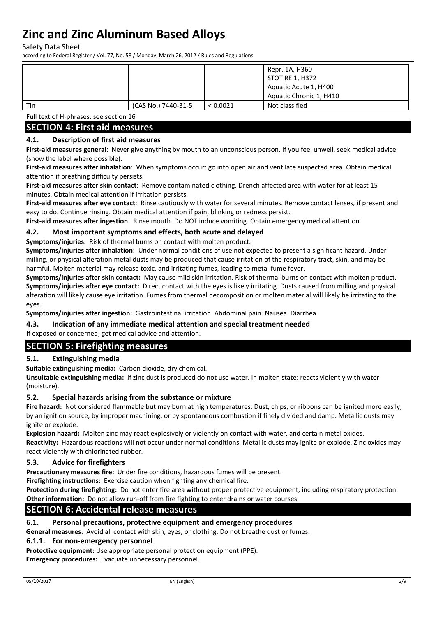Safety Data Sheet

according to Federal Register / Vol. 77, No. 58 / Monday, March 26, 2012 / Rules and Regulations

|     |                     |          | Repr. 1A, H360          |
|-----|---------------------|----------|-------------------------|
|     |                     |          | STOT RE 1, H372         |
|     |                     |          | Aquatic Acute 1, H400   |
|     |                     |          | Aquatic Chronic 1, H410 |
| Tin | (CAS No.) 7440-31-5 | < 0.0021 | Not classified          |

Full text of H-phrases: see section 16

### **SECTION 4: First aid measures**

#### **4.1. Description of first aid measures**

**First-aid measures general**: Never give anything by mouth to an unconscious person. If you feel unwell, seek medical advice (show the label where possible).

**First-aid measures after inhalation**: When symptoms occur: go into open air and ventilate suspected area. Obtain medical attention if breathing difficulty persists.

**First-aid measures after skin contact**: Remove contaminated clothing. Drench affected area with water for at least 15 minutes. Obtain medical attention if irritation persists.

**First-aid measures after eye contact**: Rinse cautiously with water for several minutes. Remove contact lenses, if present and easy to do. Continue rinsing. Obtain medical attention if pain, blinking or redness persist.

**First-aid measures after ingestion**: Rinse mouth. Do NOT induce vomiting. Obtain emergency medical attention.

#### **4.2. Most important symptoms and effects, both acute and delayed**

**Symptoms/injuries:** Risk of thermal burns on contact with molten product.

**Symptoms/injuries after inhalation:** Under normal conditions of use not expected to present a significant hazard. Under milling, or physical alteration metal dusts may be produced that cause irritation of the respiratory tract, skin, and may be harmful. Molten material may release toxic, and irritating fumes, leading to metal fume fever.

**Symptoms/injuries after skin contact:** May cause mild skin irritation. Risk of thermal burns on contact with molten product. **Symptoms/injuries after eye contact:** Direct contact with the eyes is likely irritating. Dusts caused from milling and physical alteration will likely cause eye irritation. Fumes from thermal decomposition or molten material will likely be irritating to the eyes.

**Symptoms/injuries after ingestion:** Gastrointestinal irritation. Abdominal pain. Nausea. Diarrhea.

#### **4.3. Indication of any immediate medical attention and special treatment needed**

If exposed or concerned, get medical advice and attention.

#### **SECTION 5: Firefighting measures**

#### **5.1. Extinguishing media**

**Suitable extinguishing media:** Carbon dioxide, dry chemical.

**Unsuitable extinguishing media:** If zinc dust is produced do not use water. In molten state: reacts violently with water (moisture).

#### **5.2. Special hazards arising from the substance or mixture**

**Fire hazard:** Not considered flammable but may burn at high temperatures. Dust, chips, or ribbons can be ignited more easily, by an ignition source, by improper machining, or by spontaneous combustion if finely divided and damp. Metallic dusts may ignite or explode.

**Explosion hazard:** Molten zinc may react explosively or violently on contact with water, and certain metal oxides.

**Reactivity:** Hazardous reactions will not occur under normal conditions. Metallic dusts may ignite or explode. Zinc oxides may react violently with chlorinated rubber.

#### **5.3. Advice for firefighters**

**Precautionary measures fire:** Under fire conditions, hazardous fumes will be present.

**Firefighting instructions:** Exercise caution when fighting any chemical fire.

**Protection during firefighting:** Do not enter fire area without proper protective equipment, including respiratory protection. **Other information:** Do not allow run-off from fire fighting to enter drains or water courses.

### **SECTION 6: Accidental release measures**

#### **6.1. Personal precautions, protective equipment and emergency procedures**

**General measures**: Avoid all contact with skin, eyes, or clothing. Do not breathe dust or fumes.

#### **6.1.1. For non-emergency personnel**

**Protective equipment:** Use appropriate personal protection equipment (PPE).

**Emergency procedures:** Evacuate unnecessary personnel.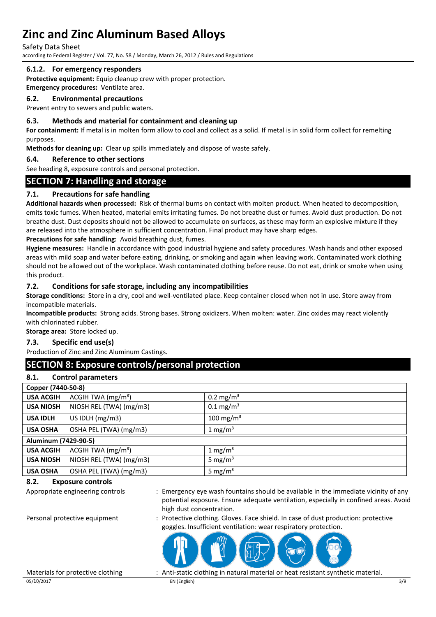Safety Data Sheet

according to Federal Register / Vol. 77, No. 58 / Monday, March 26, 2012 / Rules and Regulations

#### **6.1.2. For emergency responders**

**Protective equipment:** Equip cleanup crew with proper protection. **Emergency procedures:** Ventilate area.

# **6.2. Environmental precautions**

Prevent entry to sewers and public waters.

#### **6.3. Methods and material for containment and cleaning up**

**For containment:** If metal is in molten form allow to cool and collect as a solid. If metal is in solid form collect for remelting purposes.

**Methods for cleaning up:** Clear up spills immediately and dispose of waste safely.

#### **6.4. Reference to other sections**

See heading 8, exposure controls and personal protection.

## **SECTION 7: Handling and storage**

#### **7.1. Precautions for safe handling**

**Additional hazards when processed:** Risk of thermal burns on contact with molten product. When heated to decomposition, emits toxic fumes. When heated, material emits irritating fumes. Do not breathe dust or fumes. Avoid dust production. Do not breathe dust. Dust deposits should not be allowed to accumulate on surfaces, as these may form an explosive mixture if they are released into the atmosphere in sufficient concentration. Final product may have sharp edges.

**Precautions for safe handling:** Avoid breathing dust, fumes.

**Hygiene measures:** Handle in accordance with good industrial hygiene and safety procedures. Wash hands and other exposed areas with mild soap and water before eating, drinking, or smoking and again when leaving work. Contaminated work clothing should not be allowed out of the workplace. Wash contaminated clothing before reuse. Do not eat, drink or smoke when using this product.

#### **7.2. Conditions for safe storage, including any incompatibilities**

**Storage conditions:** Store in a dry, cool and well-ventilated place. Keep container closed when not in use. Store away from incompatible materials.

**Incompatible products:** Strong acids. Strong bases. Strong oxidizers. When molten: water. Zinc oxides may react violently with chlorinated rubber.

**Storage area:** Store locked up.

#### **7.3. Specific end use(s)**

Production of Zinc and Zinc Aluminum Castings.

## **SECTION 8: Exposure controls/personal protection**

#### **8.1. Control parameters**

|                      | Copper (7440-50-8)      |                         |  |
|----------------------|-------------------------|-------------------------|--|
| <b>USA ACGIH</b>     | ACGIH TWA $(mg/m3)$     | $0.2 \text{ mg/m}^3$    |  |
| <b>USA NIOSH</b>     | NIOSH REL (TWA) (mg/m3) | $0.1 \,\mathrm{mg/m^3}$ |  |
| <b>USA IDLH</b>      | US IDLH $(mg/m3)$       | $100 \text{ mg/m}^3$    |  |
| <b>USA OSHA</b>      | OSHA PEL (TWA) (mg/m3)  | 1 mg/m <sup>3</sup>     |  |
| Aluminum (7429-90-5) |                         |                         |  |
| <b>USA ACGIH</b>     | ACGIH TWA $(mg/m3)$     | 1 mg/ $m3$              |  |
| <b>USA NIOSH</b>     | NIOSH REL (TWA) (mg/m3) | 5 mg/ $m3$              |  |
| <b>USA OSHA</b>      | OSHA PEL (TWA) (mg/m3)  | 5 mg/ $m3$              |  |

#### **8.2. Exposure controls**

Appropriate engineering controls : Emergency eye wash fountains should be available in the immediate vicinity of any potential exposure. Ensure adequate ventilation, especially in confined areas. Avoid high dust concentration.

Personal protective equipment : Protective clothing. Gloves. Face shield. In case of dust production: protective goggles. Insufficient ventilation: wear respiratory protection.



05/10/2017 EN (English) 3/9

Materials for protective clothing : Anti-static clothing in natural material or heat resistant synthetic material.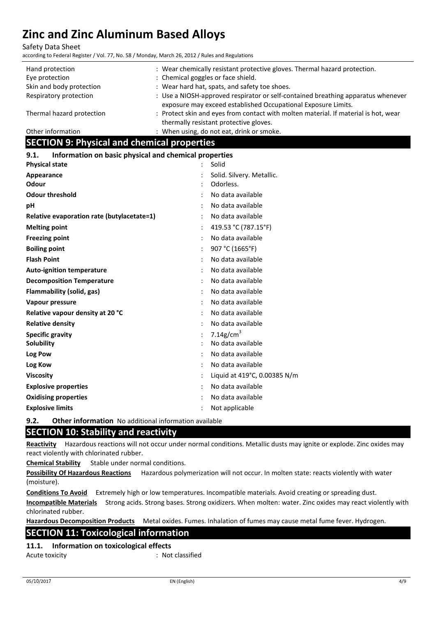Safety Data Sheet

according to Federal Register / Vol. 77, No. 58 / Monday, March 26, 2012 / Rules and Regulations

| Hand protection           | : Wear chemically resistant protective gloves. Thermal hazard protection.                                                                         |
|---------------------------|---------------------------------------------------------------------------------------------------------------------------------------------------|
| Eye protection            | : Chemical goggles or face shield.                                                                                                                |
| Skin and body protection  | : Wear hard hat, spats, and safety toe shoes.                                                                                                     |
| Respiratory protection    | : Use a NIOSH-approved respirator or self-contained breathing apparatus whenever<br>exposure may exceed established Occupational Exposure Limits. |
| Thermal hazard protection | : Protect skin and eyes from contact with molten material. If material is hot, wear<br>thermally resistant protective gloves.                     |
| Other information         | : When using, do not eat, drink or smoke.                                                                                                         |

# **SECTION 9: Physical and chemical properties**

#### **9.1. Information on basic physical and chemical properties**

| <b>Physical state</b>                      | $\ddot{\cdot}$ | Solid                        |
|--------------------------------------------|----------------|------------------------------|
| Appearance                                 |                | Solid. Silvery. Metallic.    |
| Odour                                      |                | Odorless.                    |
| <b>Odour threshold</b>                     |                | No data available            |
| рH                                         |                | No data available            |
| Relative evaporation rate (butylacetate=1) |                | No data available            |
| <b>Melting point</b>                       |                | 419.53 °C (787.15°F)         |
| <b>Freezing point</b>                      |                | No data available            |
| <b>Boiling point</b>                       |                | 907 °C (1665°F)              |
| <b>Flash Point</b>                         |                | No data available            |
| <b>Auto-ignition temperature</b>           |                | No data available            |
| <b>Decomposition Temperature</b>           |                | No data available            |
| Flammability (solid, gas)                  |                | No data available            |
| Vapour pressure                            |                | No data available            |
| Relative vapour density at 20 °C           |                | No data available            |
| <b>Relative density</b>                    |                | No data available            |
| <b>Specific gravity</b>                    |                | 7.14g/cm <sup>3</sup>        |
| <b>Solubility</b>                          |                | No data available            |
| Log Pow                                    |                | No data available            |
| Log Kow                                    |                | No data available            |
| <b>Viscosity</b>                           |                | Liquid at 419°C, 0.00385 N/m |
| <b>Explosive properties</b>                |                | No data available            |
| <b>Oxidising properties</b>                |                | No data available            |
| <b>Explosive limits</b>                    |                | Not applicable               |
|                                            |                |                              |

**9.2. Other information** No additional information available

### **SECTION 10: Stability and reactivity**

**Reactivity** Hazardous reactions will not occur under normal conditions. Metallic dusts may ignite or explode. Zinc oxides may react violently with chlorinated rubber.

**Chemical Stability** Stable under normal conditions.

**Possibility Of Hazardous Reactions** Hazardous polymerization will not occur. In molten state: reacts violently with water (moisture).

**Conditions To Avoid** Extremely high or low temperatures. Incompatible materials. Avoid creating or spreading dust.

**Incompatible Materials** Strong acids. Strong bases. Strong oxidizers. When molten: water. Zinc oxides may react violently with chlorinated rubber.

**Hazardous Decomposition Products** Metal oxides. Fumes. Inhalation of fumes may cause metal fume fever. Hydrogen.

### **SECTION 11: Toxicological information**

**11.1. Information on toxicological effects**

Acute toxicity in the contract of the classified in the classified in the classified in the classified in the contract of the contract of the contract of the contract of the contract of the contract of the contract of the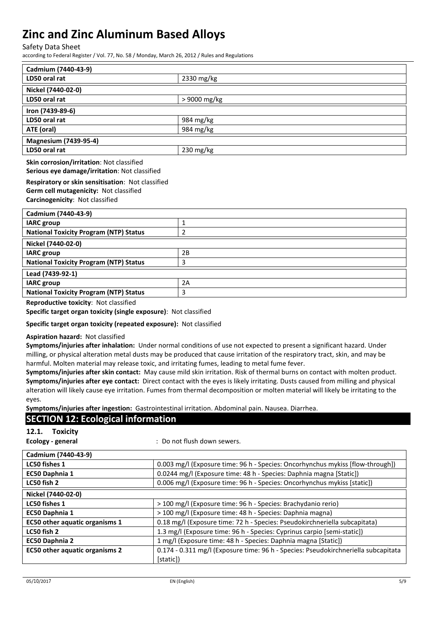Safety Data Sheet

according to Federal Register / Vol. 77, No. 58 / Monday, March 26, 2012 / Rules and Regulations

| Cadmium (7440-43-9)                                             |              |  |  |
|-----------------------------------------------------------------|--------------|--|--|
| LD50 oral rat                                                   | 2330 mg/kg   |  |  |
| Nickel (7440-02-0)                                              |              |  |  |
| LD50 oral rat                                                   | > 9000 mg/kg |  |  |
| Iron (7439-89-6)                                                |              |  |  |
| LD50 oral rat                                                   | 984 mg/kg    |  |  |
| ATE (oral)                                                      | 984 mg/kg    |  |  |
| <b>Magnesium (7439-95-4)</b>                                    |              |  |  |
| LD50 oral rat                                                   | 230 mg/kg    |  |  |
| Skin corrosion/irritation: Not classified                       |              |  |  |
| Serious eye damage/irritation: Not classified                   |              |  |  |
| Respiratory or skin sensitisation: Not classified               |              |  |  |
| Germ cell mutagenicity: Not classified                          |              |  |  |
| Carcinogenicity: Not classified                                 |              |  |  |
| Cadmium (7440-43-9)                                             |              |  |  |
| <b>IARC</b> group                                               | $\mathbf{1}$ |  |  |
| <b>National Toxicity Program (NTP) Status</b><br>$\overline{2}$ |              |  |  |
| Nickel (7440-02-0)                                              |              |  |  |
| <b>IARC</b> group                                               | 2B           |  |  |
| <b>National Toxicity Program (NTP) Status</b>                   | 3            |  |  |
| Lead (7439-92-1)                                                |              |  |  |
| <b>IARC</b> group                                               | 2A           |  |  |
| <b>National Toxicity Program (NTP) Status</b>                   | 3            |  |  |

**Reproductive toxicity**: Not classified

**Specific target organ toxicity (single exposure)**: Not classified

#### **Specific target organ toxicity (repeated exposure):** Not classified

#### **Aspiration hazard:** Not classified

**Symptoms/injuries after inhalation:** Under normal conditions of use not expected to present a significant hazard. Under milling, or physical alteration metal dusts may be produced that cause irritation of the respiratory tract, skin, and may be harmful. Molten material may release toxic, and irritating fumes, leading to metal fume fever.

**Symptoms/injuries after skin contact:** May cause mild skin irritation. Risk of thermal burns on contact with molten product. **Symptoms/injuries after eye contact:** Direct contact with the eyes is likely irritating. Dusts caused from milling and physical alteration will likely cause eye irritation. Fumes from thermal decomposition or molten material will likely be irritating to the eyes.

**Symptoms/injuries after ingestion:** Gastrointestinal irritation. Abdominal pain. Nausea. Diarrhea.

### **SECTION 12: Ecological information**

#### **12.1. Toxicity**

**Ecology - general** : Do not flush down sewers.

| Cadmium (7440-43-9)                   |                                                                                    |
|---------------------------------------|------------------------------------------------------------------------------------|
| LC50 fishes 1                         | 0.003 mg/l (Exposure time: 96 h - Species: Oncorhynchus mykiss [flow-through])     |
| EC50 Daphnia 1                        | 0.0244 mg/l (Exposure time: 48 h - Species: Daphnia magna [Static])                |
| LC50 fish 2                           | 0.006 mg/l (Exposure time: 96 h - Species: Oncorhynchus mykiss [static])           |
| Nickel (7440-02-0)                    |                                                                                    |
| LC50 fishes 1                         | > 100 mg/l (Exposure time: 96 h - Species: Brachydanio rerio)                      |
| EC50 Daphnia 1                        | > 100 mg/l (Exposure time: 48 h - Species: Daphnia magna)                          |
| EC50 other aquatic organisms 1        | 0.18 mg/l (Exposure time: 72 h - Species: Pseudokirchneriella subcapitata)         |
| LC50 fish 2                           | 1.3 mg/l (Exposure time: 96 h - Species: Cyprinus carpio [semi-static])            |
| <b>EC50 Daphnia 2</b>                 | 1 mg/l (Exposure time: 48 h - Species: Daphnia magna [Static])                     |
| <b>EC50 other aquatic organisms 2</b> | 0.174 - 0.311 mg/l (Exposure time: 96 h - Species: Pseudokirchneriella subcapitata |
|                                       | [static])                                                                          |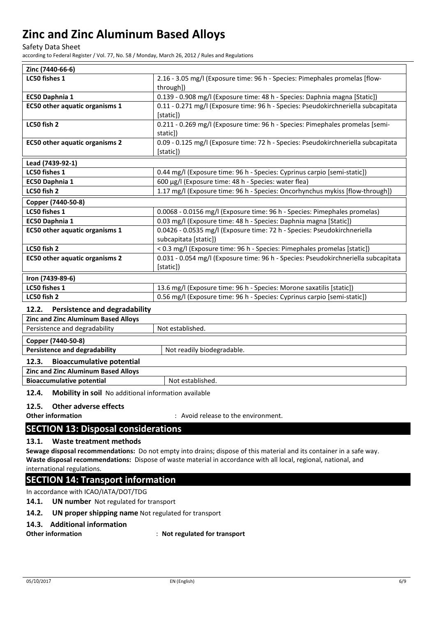Safety Data Sheet

according to Federal Register / Vol. 77, No. 58 / Monday, March 26, 2012 / Rules and Regulations

| Zinc (7440-66-6)                      |                                                                                                   |  |
|---------------------------------------|---------------------------------------------------------------------------------------------------|--|
| LC50 fishes 1                         | 2.16 - 3.05 mg/l (Exposure time: 96 h - Species: Pimephales promelas [flow-<br>through])          |  |
| EC50 Daphnia 1                        | 0.139 - 0.908 mg/l (Exposure time: 48 h - Species: Daphnia magna [Static])                        |  |
| <b>EC50 other aquatic organisms 1</b> | 0.11 - 0.271 mg/l (Exposure time: 96 h - Species: Pseudokirchneriella subcapitata<br>[static])    |  |
| LC50 fish 2                           | 0.211 - 0.269 mg/l (Exposure time: 96 h - Species: Pimephales promelas [semi-<br>static])         |  |
| <b>EC50 other aquatic organisms 2</b> | 0.09 - 0.125 mg/l (Exposure time: 72 h - Species: Pseudokirchneriella subcapitata<br>[static])    |  |
| Lead (7439-92-1)                      |                                                                                                   |  |
| LC50 fishes 1                         | 0.44 mg/l (Exposure time: 96 h - Species: Cyprinus carpio [semi-static])                          |  |
| EC50 Daphnia 1                        | 600 µg/l (Exposure time: 48 h - Species: water flea)                                              |  |
| LC50 fish 2                           | 1.17 mg/l (Exposure time: 96 h - Species: Oncorhynchus mykiss [flow-through])                     |  |
| Copper (7440-50-8)                    |                                                                                                   |  |
| LC50 fishes 1                         | 0.0068 - 0.0156 mg/l (Exposure time: 96 h - Species: Pimephales promelas)                         |  |
| EC50 Daphnia 1                        | 0.03 mg/l (Exposure time: 48 h - Species: Daphnia magna [Static])                                 |  |
| <b>EC50 other aquatic organisms 1</b> | 0.0426 - 0.0535 mg/l (Exposure time: 72 h - Species: Pseudokirchneriella<br>subcapitata [static]) |  |
| LC50 fish 2                           | < 0.3 mg/l (Exposure time: 96 h - Species: Pimephales promelas [static])                          |  |
| <b>EC50 other aquatic organisms 2</b> | 0.031 - 0.054 mg/l (Exposure time: 96 h - Species: Pseudokirchneriella subcapitata<br>[static])   |  |
| Iron (7439-89-6)                      |                                                                                                   |  |
| LC50 fishes 1                         | 13.6 mg/l (Exposure time: 96 h - Species: Morone saxatilis [static])                              |  |
| LC50 fish 2                           | 0.56 mg/l (Exposure time: 96 h - Species: Cyprinus carpio [semi-static])                          |  |

### **12.2. Persistence and degradability**

| <b>Zinc and Zinc Aluminum Based Alloys</b>                         |  |  |  |
|--------------------------------------------------------------------|--|--|--|
| Persistence and degradability<br>Not established.                  |  |  |  |
| Copper (7440-50-8)                                                 |  |  |  |
| <b>Persistence and degradability</b><br>Not readily biodegradable. |  |  |  |
| <b>Bioaccumulative potential</b><br>12.3.                          |  |  |  |
| <b>Zinc and Zinc Aluminum Based Alloys</b>                         |  |  |  |
| <b>Bioaccumulative potential</b><br>Not established.               |  |  |  |

**12.4. Mobility in soil** No additional information available

#### **12.5. Other adverse effects**

**Other information intervalled in the environment.** The environment.

### **SECTION 13: Disposal considerations**

#### **13.1. Waste treatment methods**

**Sewage disposal recommendations:** Do not empty into drains; dispose of this material and its container in a safe way. **Waste disposal recommendations:** Dispose of waste material in accordance with all local, regional, national, and international regulations.

### **SECTION 14: Transport information**

In accordance with ICAO/IATA/DOT/TDG

#### **14.1. UN number** Not regulated for transport

#### **14.2. UN proper shipping name** Not regulated for transport

#### **14.3. Additional information**

**Other information** : **Not regulated for transport**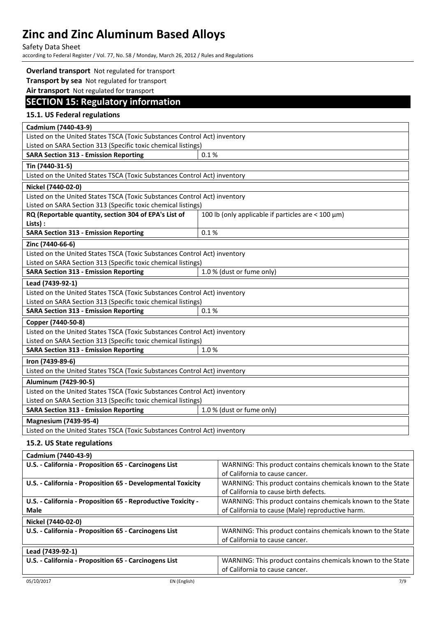Safety Data Sheet

according to Federal Register / Vol. 77, No. 58 / Monday, March 26, 2012 / Rules and Regulations

#### **Overland transport** Not regulated for transport **Transport by sea** Not regulated for transport **Air transport** Not regulated for transport **SECTION 15: Regulatory information 15.1. US Federal regulations Cadmium (7440-43-9)** Listed on the United States TSCA (Toxic Substances Control Act) inventory Listed on SARA Section 313 (Specific toxic chemical listings) **SARA Section 313 - Emission Reporting**  $\begin{bmatrix} 0.1 % 0.1 % \end{bmatrix}$ **Tin (7440-31-5)** Listed on the United States TSCA (Toxic Substances Control Act) inventory **Nickel (7440-02-0)** Listed on the United States TSCA (Toxic Substances Control Act) inventory Listed on SARA Section 313 (Specific toxic chemical listings) **RQ (Reportable quantity, section 304 of EPA's List of Lists) :** 100 lb (only applicable if particles are  $<$  100  $\mu$ m) **SARA Section 313 - Emission Reporting 10.1 % Zinc (7440-66-6)** Listed on the United States TSCA (Toxic Substances Control Act) inventory Listed on SARA Section 313 (Specific toxic chemical listings) **SARA Section 313 - Emission Reporting The CHALL** 1.0 % (dust or fume only) **Lead (7439-92-1)** Listed on the United States TSCA (Toxic Substances Control Act) inventory Listed on SARA Section 313 (Specific toxic chemical listings) **SARA Section 313 - Emission Reporting 6 0.1 % Copper (7440-50-8)** Listed on the United States TSCA (Toxic Substances Control Act) inventory Listed on SARA Section 313 (Specific toxic chemical listings) **SARA Section 313 - Emission Reporting**  $\begin{array}{|c|c|c|c|c|c|}\n\hline\n\text{SARA} & 313 & -\text{Emission Reporting} \\
\hline\n\end{array}$ **Iron (7439-89-6)** Listed on the United States TSCA (Toxic Substances Control Act) inventory **Aluminum (7429-90-5)** Listed on the United States TSCA (Toxic Substances Control Act) inventory Listed on SARA Section 313 (Specific toxic chemical listings) **SARA Section 313 - Emission Reporting 1.0 % (dust or fume only) Magnesium (7439-95-4)** Listed on the United States TSCA (Toxic Substances Control Act) inventory

#### **15.2. US State regulations**

| Cadmium (7440-43-9)                                          |                                                             |
|--------------------------------------------------------------|-------------------------------------------------------------|
| U.S. - California - Proposition 65 - Carcinogens List        | WARNING: This product contains chemicals known to the State |
|                                                              | of California to cause cancer.                              |
| U.S. - California - Proposition 65 - Developmental Toxicity  | WARNING: This product contains chemicals known to the State |
|                                                              | of California to cause birth defects.                       |
| U.S. - California - Proposition 65 - Reproductive Toxicity - | WARNING: This product contains chemicals known to the State |
| <b>Male</b>                                                  | of California to cause (Male) reproductive harm.            |
| Nickel (7440-02-0)                                           |                                                             |
| U.S. - California - Proposition 65 - Carcinogens List        | WARNING: This product contains chemicals known to the State |
|                                                              | of California to cause cancer.                              |
| Lead (7439-92-1)                                             |                                                             |
| U.S. - California - Proposition 65 - Carcinogens List        | WARNING: This product contains chemicals known to the State |
|                                                              | of California to cause cancer.                              |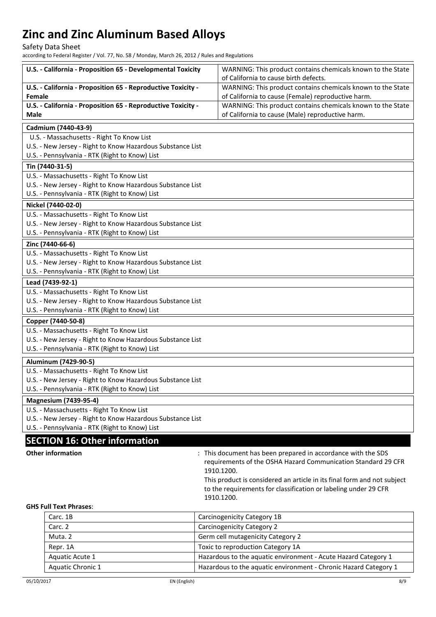Safety Data Sheet

according to Federal Register / Vol. 77, No. 58 / Monday, March 26, 2012 / Rules and Regulations

|               | U.S. - California - Proposition 65 - Developmental Toxicity                                                  | WARNING: This product contains chemicals known to the State<br>of California to cause birth defects.              |
|---------------|--------------------------------------------------------------------------------------------------------------|-------------------------------------------------------------------------------------------------------------------|
| <b>Female</b> | U.S. - California - Proposition 65 - Reproductive Toxicity -                                                 | WARNING: This product contains chemicals known to the State<br>of California to cause (Female) reproductive harm. |
| <b>Male</b>   | U.S. - California - Proposition 65 - Reproductive Toxicity -                                                 | WARNING: This product contains chemicals known to the State<br>of California to cause (Male) reproductive harm.   |
|               | Cadmium (7440-43-9)                                                                                          |                                                                                                                   |
|               | U.S. - Massachusetts - Right To Know List                                                                    |                                                                                                                   |
|               | U.S. - New Jersey - Right to Know Hazardous Substance List<br>U.S. - Pennsylvania - RTK (Right to Know) List |                                                                                                                   |
|               | Tin (7440-31-5)                                                                                              |                                                                                                                   |
|               | U.S. - Massachusetts - Right To Know List                                                                    |                                                                                                                   |
|               | U.S. - New Jersey - Right to Know Hazardous Substance List                                                   |                                                                                                                   |
|               | U.S. - Pennsylvania - RTK (Right to Know) List                                                               |                                                                                                                   |
|               | Nickel (7440-02-0)                                                                                           |                                                                                                                   |
|               | U.S. - Massachusetts - Right To Know List                                                                    |                                                                                                                   |
|               | U.S. - New Jersey - Right to Know Hazardous Substance List                                                   |                                                                                                                   |
|               | U.S. - Pennsylvania - RTK (Right to Know) List                                                               |                                                                                                                   |
|               | Zinc (7440-66-6)                                                                                             |                                                                                                                   |
|               | U.S. - Massachusetts - Right To Know List                                                                    |                                                                                                                   |
|               | U.S. - New Jersey - Right to Know Hazardous Substance List                                                   |                                                                                                                   |
|               | U.S. - Pennsylvania - RTK (Right to Know) List                                                               |                                                                                                                   |
|               | Lead (7439-92-1)                                                                                             |                                                                                                                   |
|               | U.S. - Massachusetts - Right To Know List                                                                    |                                                                                                                   |
|               | U.S. - New Jersey - Right to Know Hazardous Substance List                                                   |                                                                                                                   |
|               | U.S. - Pennsylvania - RTK (Right to Know) List                                                               |                                                                                                                   |
|               | Copper (7440-50-8)                                                                                           |                                                                                                                   |
|               | U.S. - Massachusetts - Right To Know List                                                                    |                                                                                                                   |
|               | U.S. - New Jersey - Right to Know Hazardous Substance List                                                   |                                                                                                                   |
|               | U.S. - Pennsylvania - RTK (Right to Know) List                                                               |                                                                                                                   |
|               | Aluminum (7429-90-5)                                                                                         |                                                                                                                   |
|               | U.S. - Massachusetts - Right To Know List                                                                    |                                                                                                                   |
|               | U.S. - New Jersey - Right to Know Hazardous Substance List<br>U.S. - Pennsylvania - RTK (Right to Know) List |                                                                                                                   |
|               |                                                                                                              |                                                                                                                   |
|               | <b>Magnesium (7439-95-4)</b>                                                                                 |                                                                                                                   |
|               | U.S. - Massachusetts - Right To Know List<br>U.S. - New Jersey - Right to Know Hazardous Substance List      |                                                                                                                   |
|               | U.S. - Pennsylvania - RTK (Right to Know) List                                                               |                                                                                                                   |
|               | <b>SECTION 16: Other information</b>                                                                         |                                                                                                                   |
|               | <b>Other information</b>                                                                                     | : This document has been prepared in accordance with the SDS                                                      |
|               |                                                                                                              | requirements of the OSHA Hazard Communication Standard 29 CFR<br>1910.1200.                                       |
|               |                                                                                                              | This product is considered an article in its final form and not subject                                           |
|               |                                                                                                              | to the requirements for classification or labeling under 29 CFR<br>1910.1200.                                     |
|               | <b>GHS Full Text Phrases:</b>                                                                                |                                                                                                                   |
|               | Carc. 1B                                                                                                     | Carcinogenicity Category 1B                                                                                       |
|               | Carc. 2                                                                                                      | Carcinogenicity Category 2                                                                                        |
|               | Muta. 2                                                                                                      | Germ cell mutagenicity Category 2                                                                                 |
|               | Repr. 1A                                                                                                     | Toxic to reproduction Category 1A                                                                                 |
|               | Aquatic Acute 1                                                                                              | Hazardous to the aquatic environment - Acute Hazard Category 1                                                    |

Aquatic Chronic 1 Hazardous to the aquatic environment - Chronic Hazard Category 1